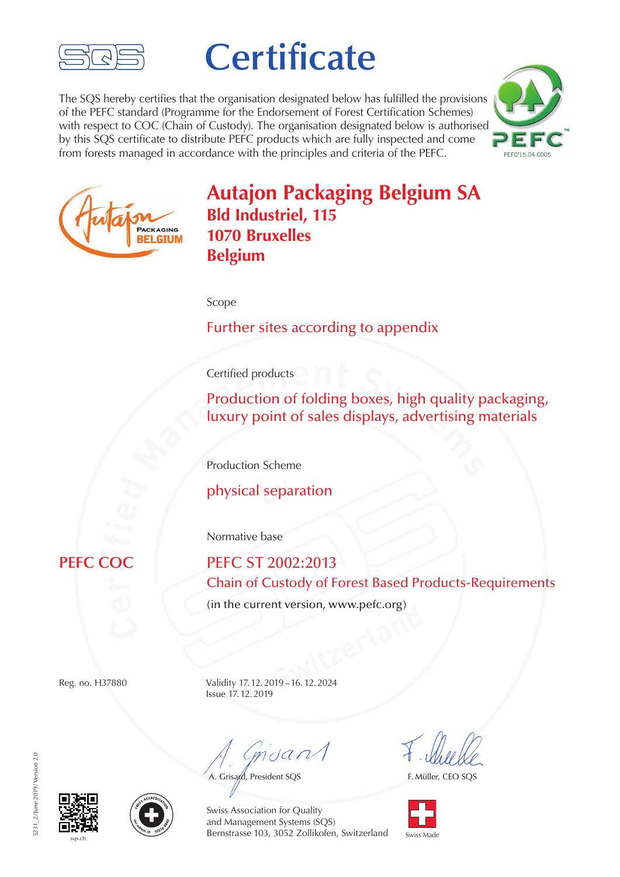

## **Certificate**

The SQS hereby certifies that the organisation designated below has fulfilled the provisions of the PEFC standard (Programme for the Endorsement of Forest Certification Schemes) with respect to COC (Chain of Custody). The organisation designated below is authorised by this SQS certificate to distribute PEFC products which are fully inspected and come from forests managed in accordance with the principles and criteria of the PEFC.





## **Autajon Packaging Belgium SA Bld Industriel, 115 1070 Bruxelles Belgium**

Scope

Further sites according to appendix

Certified products

**Production of folding boxes, high quality p<br>
<b>luxury point of sales displays, advertising m**<br> **Production Scheme** Production of folding boxes, high quality packaging, luxury point of sales displays, advertising materials

Production Scheme

**by** physical separation

Normative base

## **ti**

**PEFC ST 2002:2013** Chain of Custody of Forest Based Products-Requirements

(in the current version, www.pefc.org)

**Switzerland**<br> **Switzerland**<br> **Switzerland**<br> **Switzerland**<br> **Switzerland**<br> **Switzerland**<br> **Switzerland**<br> **Switzerland**<br> **Switzerland**<br> **Switzerland**<br> **Switzerland**<br> **Switzerland**<br> **Switzerland** Reg. no. H37880 Validity 17.12.2019–16.12.2024 Issue 17.12.2019

 $m<sub>d</sub>$ 

A. Grisard, President SQS

F. Müller, CEO SQS







Swiss Association for Quality and Management Systems (SQS) **Bernstrasse 103, 3052 Zollikofen, Switzerland** Swiss Made